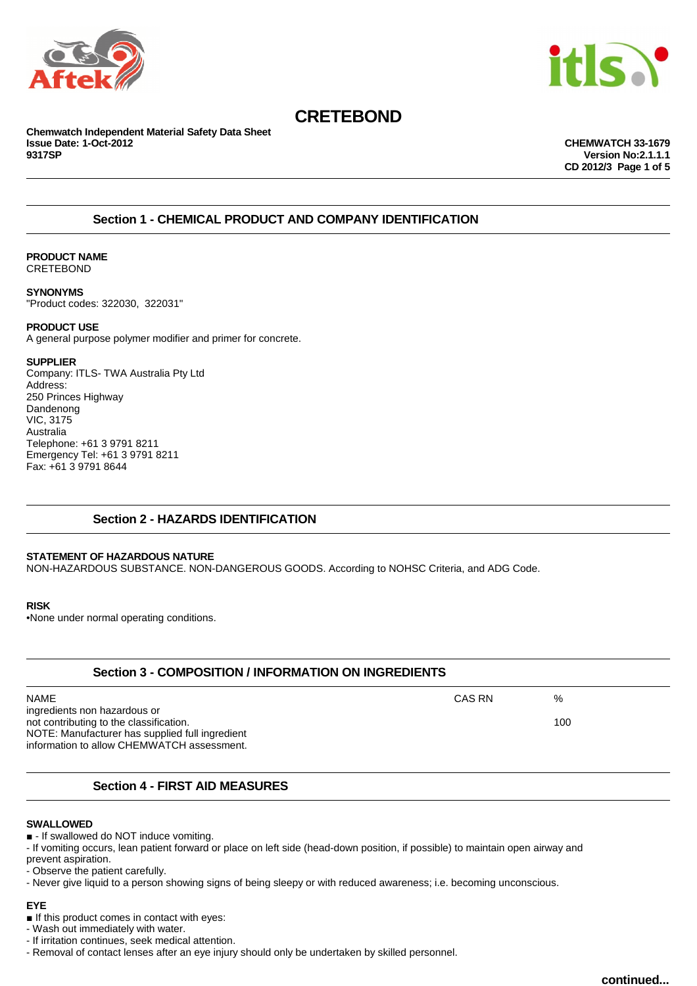



**Chemwatch Independent Material Safety Data Sheet Issue Date: 1-Oct-2012 CHEMWATCH 33-1679**

**9317SP Version No:2.1.1.1 CD 2012/3 Page 1 of 5**

# **Section 1 - CHEMICAL PRODUCT AND COMPANY IDENTIFICATION**

### **PRODUCT NAME** CRETEBOND

**SYNONYMS** "Product codes: 322030, 322031"

# **PRODUCT USE**

A general purpose polymer modifier and primer for concrete.

## **SUPPLIER**

Company: ITLS- TWA Australia Pty Ltd Address: 250 Princes Highway Dandenong VIC, 3175 Australia Telephone: +61 3 9791 8211 Emergency Tel: +61 3 9791 8211 Fax: +61 3 9791 8644

# **Section 2 - HAZARDS IDENTIFICATION**

## **STATEMENT OF HAZARDOUS NATURE**

NON-HAZARDOUS SUBSTANCE. NON-DANGEROUS GOODS. According to NOHSC Criteria, and ADG Code.

**RISK**

•None under normal operating conditions.

| <b>Section 3 - COMPOSITION / INFORMATION ON INGREDIENTS</b>                                                                                                              |        |     |
|--------------------------------------------------------------------------------------------------------------------------------------------------------------------------|--------|-----|
| NAME                                                                                                                                                                     | CAS RN | %   |
| ingredients non hazardous or<br>not contributing to the classification.<br>NOTE: Manufacturer has supplied full ingredient<br>information to allow CHEMWATCH assessment. |        | 100 |
| <b>Section 4 - FIRST AID MEASURES</b>                                                                                                                                    |        |     |

### **SWALLOWED**

■ - If swallowed do NOT induce vomiting.

- If vomiting occurs, lean patient forward or place on left side (head-down position, if possible) to maintain open airway and prevent aspiration.

- Observe the patient carefully.

- Never give liquid to a person showing signs of being sleepy or with reduced awareness; i.e. becoming unconscious.

**EYE**

■ If this product comes in contact with eyes:

- Wash out immediately with water.

- If irritation continues, seek medical attention.

- Removal of contact lenses after an eye injury should only be undertaken by skilled personnel.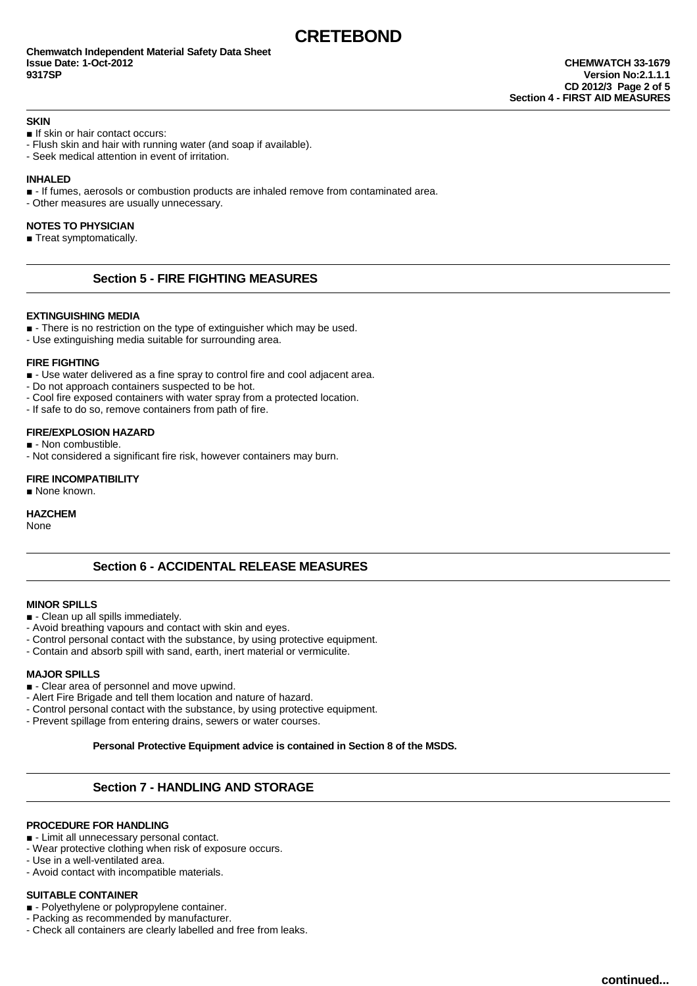#### **SKIN**

■ If skin or hair contact occurs:

- Flush skin and hair with running water (and soap if available).
- Seek medical attention in event of irritation.

#### **INHALED**

- - If fumes, aerosols or combustion products are inhaled remove from contaminated area.
- Other measures are usually unnecessary.

#### **NOTES TO PHYSICIAN**

■ Treat symptomatically.

# **Section 5 - FIRE FIGHTING MEASURES**

#### **EXTINGUISHING MEDIA**

- - There is no restriction on the type of extinguisher which may be used.
- Use extinguishing media suitable for surrounding area.

#### **FIRE FIGHTING**

■ - Use water delivered as a fine spray to control fire and cool adjacent area.

- Do not approach containers suspected to be hot.

- Cool fire exposed containers with water spray from a protected location.
- If safe to do so, remove containers from path of fire.

#### **FIRE/EXPLOSION HAZARD**

- - Non combustible.
- Not considered a significant fire risk, however containers may burn.

#### **FIRE INCOMPATIBILITY** ■ None known.

**HAZCHEM**

None

## **Section 6 - ACCIDENTAL RELEASE MEASURES**

### **MINOR SPILLS**

- - Clean up all spills immediately.
- Avoid breathing vapours and contact with skin and eyes.
- Control personal contact with the substance, by using protective equipment.
- Contain and absorb spill with sand, earth, inert material or vermiculite.

### **MAJOR SPILLS**

- - Clear area of personnel and move upwind.
- Alert Fire Brigade and tell them location and nature of hazard.
- Control personal contact with the substance, by using protective equipment.
- Prevent spillage from entering drains, sewers or water courses.

**Personal Protective Equipment advice is contained in Section 8 of the MSDS.**

# **Section 7 - HANDLING AND STORAGE**

## **PROCEDURE FOR HANDLING**

- - Limit all unnecessary personal contact.
- Wear protective clothing when risk of exposure occurs.
- Use in a well-ventilated area.
- Avoid contact with incompatible materials.

#### **SUITABLE CONTAINER**

- - Polyethylene or polypropylene container.
- Packing as recommended by manufacturer.
- Check all containers are clearly labelled and free from leaks.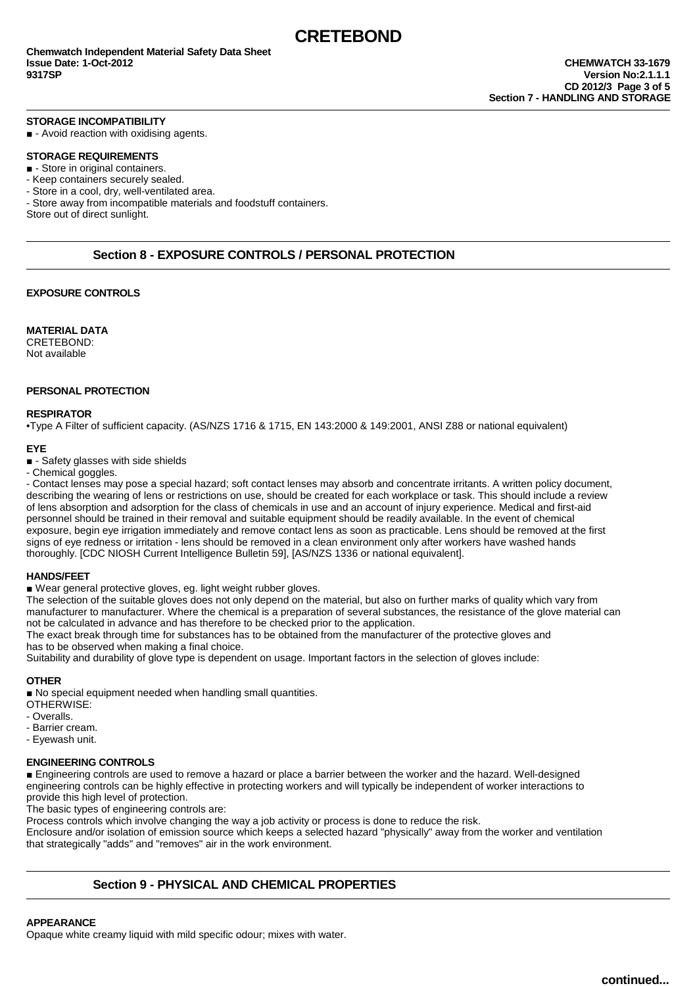#### **STORAGE INCOMPATIBILITY**

■ - Avoid reaction with oxidising agents.

#### **STORAGE REQUIREMENTS**

■ - Store in original containers.

- Keep containers securely sealed.

- Store in a cool, dry, well-ventilated area.

- Store away from incompatible materials and foodstuff containers.

Store out of direct sunlight.

# **Section 8 - EXPOSURE CONTROLS / PERSONAL PROTECTION**

### **EXPOSURE CONTROLS**

**MATERIAL DATA** CRETEBOND: Not available

#### **PERSONAL PROTECTION**

### **RESPIRATOR**

•Type A Filter of sufficient capacity. (AS/NZS 1716 & 1715, EN 143:2000 & 149:2001, ANSI Z88 or national equivalent)

#### **EYE**

■ - Safety glasses with side shields

- Chemical goggles.

- Contact lenses may pose a special hazard; soft contact lenses may absorb and concentrate irritants. A written policy document, describing the wearing of lens or restrictions on use, should be created for each workplace or task. This should include a review of lens absorption and adsorption for the class of chemicals in use and an account of injury experience. Medical and first-aid personnel should be trained in their removal and suitable equipment should be readily available. In the event of chemical exposure, begin eye irrigation immediately and remove contact lens as soon as practicable. Lens should be removed at the first signs of eye redness or irritation - lens should be removed in a clean environment only after workers have washed hands thoroughly. [CDC NIOSH Current Intelligence Bulletin 59], [AS/NZS 1336 or national equivalent].

#### **HANDS/FEET**

■ Wear general protective gloves, eg. light weight rubber gloves.

The selection of the suitable gloves does not only depend on the material, but also on further marks of quality which vary from manufacturer to manufacturer. Where the chemical is a preparation of several substances, the resistance of the glove material can not be calculated in advance and has therefore to be checked prior to the application.

The exact break through time for substances has to be obtained from the manufacturer of the protective gloves and has to be observed when making a final choice.

Suitability and durability of glove type is dependent on usage. Important factors in the selection of gloves include:

### **OTHER**

■ No special equipment needed when handling small quantities.

- OTHERWISE:
- Overalls.
- Barrier cream.
- Eyewash unit.

## **ENGINEERING CONTROLS**

■ Engineering controls are used to remove a hazard or place a barrier between the worker and the hazard. Well-designed engineering controls can be highly effective in protecting workers and will typically be independent of worker interactions to provide this high level of protection.

The basic types of engineering controls are:

Process controls which involve changing the way a job activity or process is done to reduce the risk.

Enclosure and/or isolation of emission source which keeps a selected hazard "physically" away from the worker and ventilation that strategically "adds" and "removes" air in the work environment.

# **Section 9 - PHYSICAL AND CHEMICAL PROPERTIES**

## **APPEARANCE**

Opaque white creamy liquid with mild specific odour; mixes with water.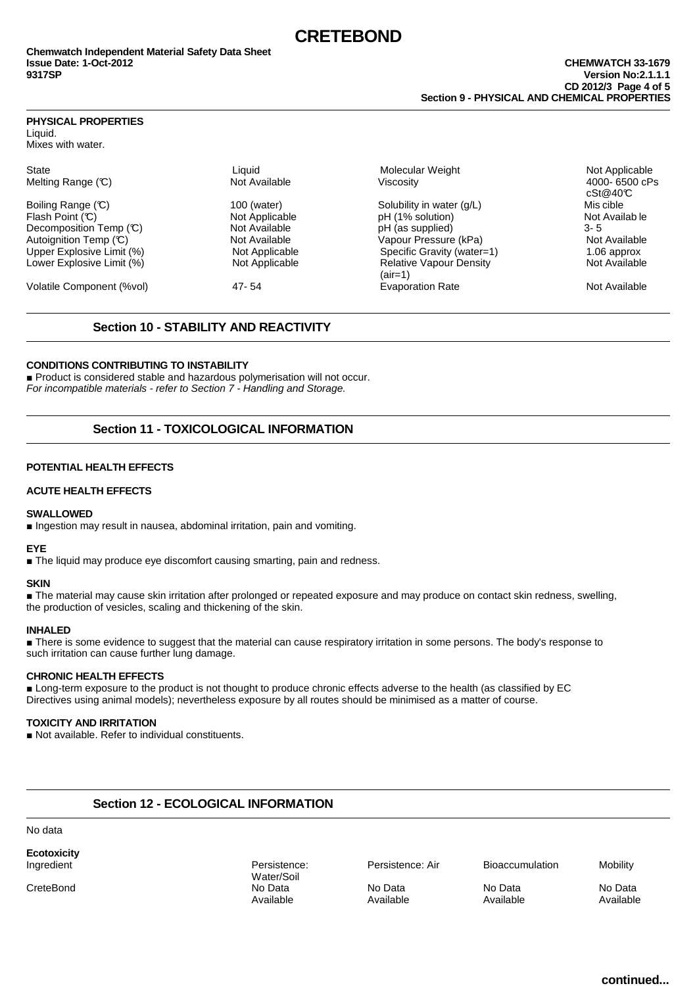## **PHYSICAL PROPERTIES**

Liquid. Mixes with water.

Melting Range  $(\mathbb{C})$  Not Available Viscosity

Flash Point (°C) Not Applicable pH (1% solution) Not Availab le Decomposition Temp (℃)  $\overline{C}$  Not Available  $\overline{D}$  pH (as supplied) 3- 5<br>Autoianition Temp (℃) 3- 5<br>Not Available 3- 1 State of Available 9-4 1 State of Pressure (kPa) 3- 5 Not Available Upper Explosive Limit (%)  $\blacksquare$  Not Applicable Specific Gravity (water=1) 1.06 approx<br>
Lower Explosive Limit (%) Not Applicable Specific Gravity Capour Density Not Available Lower Explosive Limit  $\overset{\sim}{\hspace{2mm}}$  (%) Not Applicable

State Charles Communication (Charles Charles Charles Charles Charles Charles Charles Charles Charles Charles C<br>Molecular Weight Not Applicable Methina Range (C) 3600 cPs Boiling Range (C) 100 (water) 100 (water) Solubility in water (g/L) Mis cible Vapour Pressure (kPa) (air=1)<br>Evaporation Rate Volatile Component (%vol) 47- 54 Evaporation Rate Not Available

cSt@40°C

# **Section 10 - STABILITY AND REACTIVITY**

## **CONDITIONS CONTRIBUTING TO INSTABILITY**

■ Product is considered stable and hazardous polymerisation will not occur. For incompatible materials - refer to Section 7 - Handling and Storage.

# **Section 11 - TOXICOLOGICAL INFORMATION**

## **POTENTIAL HEALTH EFFECTS**

## **ACUTE HEALTH EFFECTS**

### **SWALLOWED**

■ Ingestion may result in nausea, abdominal irritation, pain and vomiting.

### **EYE**

■ The liquid may produce eye discomfort causing smarting, pain and redness.

### **SKIN**

■ The material may cause skin irritation after prolonged or repeated exposure and may produce on contact skin redness, swelling, the production of vesicles, scaling and thickening of the skin.

### **INHALED**

■ There is some evidence to suggest that the material can cause respiratory irritation in some persons. The body's response to such irritation can cause further lung damage.

### **CHRONIC HEALTH EFFECTS**

■ Long-term exposure to the product is not thought to produce chronic effects adverse to the health (as classified by EC Directives using animal models); nevertheless exposure by all routes should be minimised as a matter of course.

### **TOXICITY AND IRRITATION**

■ Not available. Refer to individual constituents.

# **Section 12 - ECOLOGICAL INFORMATION**

No data

**Ecotoxicity**

Water/Soil CreteBond No Data No Data No Data No Data Available Available Available Available

Persistence: Persistence: Air Bioaccumulation Mobility